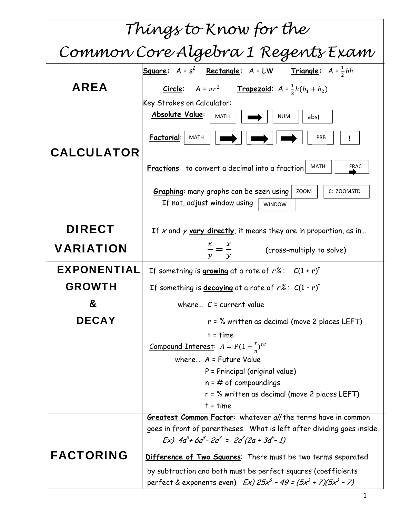| Things to Know for the             |                                                                                                                      |  |
|------------------------------------|----------------------------------------------------------------------------------------------------------------------|--|
| Common Core Algebra 1 Regents Exam |                                                                                                                      |  |
|                                    | <b>Triangle:</b> $A = \frac{1}{2}bh$<br><b>Square:</b> $A = s^2$ <b>Rectangle:</b> $A = LW$                          |  |
| AREA                               | <b>Trapezoid:</b> $A = \frac{1}{2}h(b_1 + b_2)$<br>Circle: $A = \pi r^2$                                             |  |
|                                    | Key Strokes on Calculator:<br>Absolute Value:<br><b>MATH</b><br><b>NUM</b><br>abs(                                   |  |
| <b>CALCULATOR</b>                  | Factorial:<br><b>MATH</b><br>PRB                                                                                     |  |
|                                    | <b>FRAC</b><br>MATH<br>Fractions: to convert a decimal into a fraction                                               |  |
|                                    | <b>Graphing:</b> many graphs can be seen using<br>ZOOM<br>6: ZOOMSTD<br>If not, adjust window using<br><b>WINDOW</b> |  |
| <b>DIRECT</b>                      | If x and y vary directly, it means they are in proportion, as in                                                     |  |
| <b>VARIATION</b>                   | $\frac{x}{-} = \frac{x}{-}$<br>(cross-multiply to solve)                                                             |  |
| <b>EXPONENTIAL</b>                 | If something is growing at a rate of $r\%$ : $C(1+r)^{t}$                                                            |  |
| <b>GROWTH</b>                      | If something is <b>decaying</b> at a rate of $r\%$ : $C(1 - r)^{t}$                                                  |  |
| &                                  | where $C =$ current value                                                                                            |  |
| <b>DECAY</b>                       | $r = %$ written as decimal (move 2 places LEFT)                                                                      |  |
|                                    | $t = time$                                                                                                           |  |
|                                    | <u>Compound Interest</u> : $A = P(1 + \frac{r}{n})^{nt}$                                                             |  |
|                                    | where $A =$ Future Value                                                                                             |  |
|                                    | P = Principal (original value)                                                                                       |  |
|                                    | $n = #$ of compoundings                                                                                              |  |
|                                    | r = % written as decimal (move 2 places LEFT)<br>$t = time$                                                          |  |
|                                    | Greatest Common Factor: whatever all the terms have in common                                                        |  |
|                                    | goes in front of parentheses. What is left after dividing goes inside.                                               |  |
|                                    | $Ex)$ 4a <sup>3</sup> +6a <sup>8</sup> -2a <sup>2</sup> = 2a <sup>2</sup> (2a + 3a <sup>6</sup> -1)                  |  |
| <b>FACTORING</b>                   | Difference of Two Squares: There must be two terms separated                                                         |  |
|                                    | by subtraction and both must be perfect squares (coefficients                                                        |  |
|                                    | perfect & exponents even) $Ex) 25x^6 - 49 = (5x^3 + 7)(5x^3 - 7)$                                                    |  |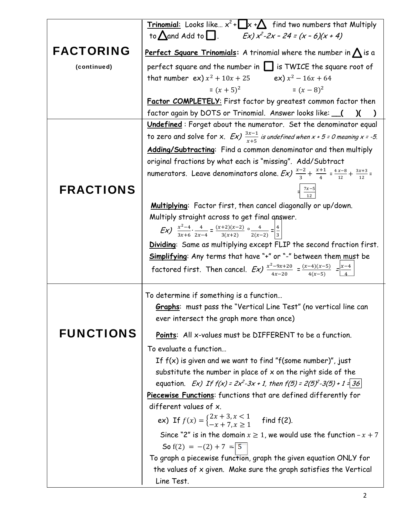|                  | <b>Trinomial:</b> Looks like $x^2 + \Box x + \triangle$ find two numbers that Multiply                                                              |  |  |
|------------------|-----------------------------------------------------------------------------------------------------------------------------------------------------|--|--|
|                  | to $\triangle$ and Add to $\Box$ . Ex) $x^2-2x-24=(x-6)(x+4)$                                                                                       |  |  |
| <b>FACTORING</b> | Perfect Square Trinomials: A trinomial where the number in $\bigwedge$ is a                                                                         |  |  |
| (continued)      | perfect square and the number in $\Box$ is TWICE the square root of                                                                                 |  |  |
|                  | that number $ex) x^2 + 10x + 25$ $ex) x^2 - 16x + 64$                                                                                               |  |  |
|                  | $=(x+5)^2$ = $(x-8)^2$                                                                                                                              |  |  |
|                  | Factor COMPLETELY: First factor by greatest common factor then                                                                                      |  |  |
|                  | factor again by DOTS or Trinomial. Answer looks like: __(<br>$\chi$<br>$\lambda$                                                                    |  |  |
|                  | <b>Undefined</b> : Forget about the numerator. Set the denominator equal                                                                            |  |  |
|                  | to zero and solve for x. $Ex)$ $\frac{3x-1}{x+5}$ is undefined when x + 5 = 0 meaning x = -5.                                                       |  |  |
|                  | Adding/Subtracting: Find a common denominator and then multiply                                                                                     |  |  |
|                  | original fractions by what each is "missing". Add/Subtract                                                                                          |  |  |
|                  | numerators. Leave denominators alone. Ex) $\frac{x-2}{3} + \frac{x+1}{4} = \frac{4x-8}{12} + \frac{3x+3}{12} =$                                     |  |  |
| <b>FRACTIONS</b> |                                                                                                                                                     |  |  |
|                  | Multiplying: Factor first, then cancel diagonally or up/down.                                                                                       |  |  |
|                  | Multiply straight across to get final answer.                                                                                                       |  |  |
|                  | <b>Ex)</b> $\frac{x^2-4}{3x+6} \cdot \frac{4}{2x-4} = \frac{(x+2)(x-2)}{3(x+2)} \circ \frac{4}{2(x-2)} = \frac{4}{3}$                               |  |  |
|                  | Dividing: Same as multiplying except FLIP the second fraction first.                                                                                |  |  |
|                  | Simplifying: Any terms that have "+" or "-" between them must be                                                                                    |  |  |
|                  | factored first. Then cancel. $Exint \frac{x^2-9x+20}{4x-20} = \frac{(x-4)(x-5)}{4(x-5)} = \frac{ x-4 }{4}$                                          |  |  |
|                  | To determine if something is a function                                                                                                             |  |  |
|                  | <b>Graphs:</b> must pass the "Vertical Line Test" (no vertical line can                                                                             |  |  |
|                  | ever intersect the graph more than once)                                                                                                            |  |  |
| <b>FUNCTIONS</b> | <b>Points:</b> All x-values must be DIFFERENT to be a function.                                                                                     |  |  |
|                  | To evaluate a function                                                                                                                              |  |  |
|                  | If $f(x)$ is given and we want to find "f(some number)", just                                                                                       |  |  |
|                  | substitute the number in place of $x$ on the right side of the                                                                                      |  |  |
|                  | equation. Ex) If $f(x) = 2x^2-3x + 1$ , then $f(5) = 2(5)^2-3(5) + 1 = 36$                                                                          |  |  |
|                  | Piecewise Functions: functions that are defined differently for                                                                                     |  |  |
|                  | different values of x.                                                                                                                              |  |  |
|                  | ex) If $f(x) = \begin{cases} 2x + 3, x < 1 \\ -x + 7, x > 1 \end{cases}$ find f(2).                                                                 |  |  |
|                  | Since "2" is in the domain $x \ge 1$ , we would use the function $-x + 7$                                                                           |  |  |
|                  | So $f(2) = -(2) + 7 = 5$                                                                                                                            |  |  |
|                  |                                                                                                                                                     |  |  |
|                  |                                                                                                                                                     |  |  |
|                  | To graph a piecewise function, graph the given equation ONLY for<br>the values of x given. Make sure the graph satisfies the Vertical<br>Line Test. |  |  |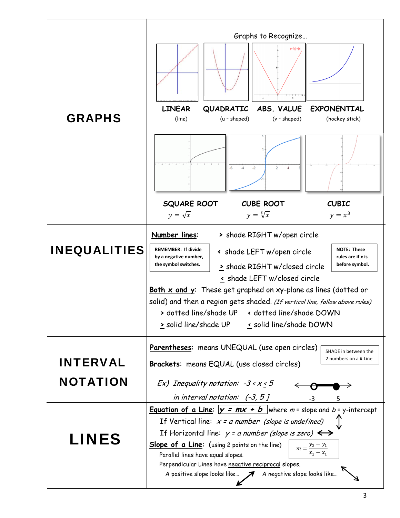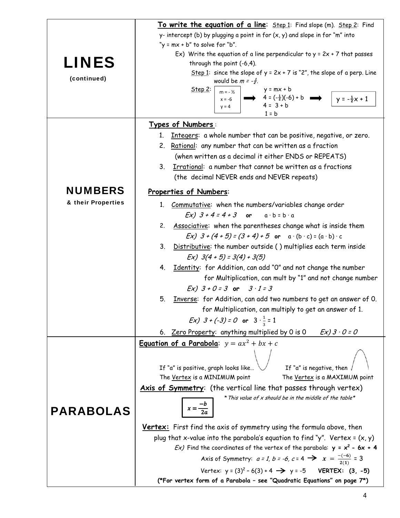|                    | To write the equation of a line: Step 1: Find slope (m). Step 2: Find                                                                   |  |  |
|--------------------|-----------------------------------------------------------------------------------------------------------------------------------------|--|--|
|                    | y- intercept (b) by plugging a point in for $(x, y)$ and slope in for "m" into                                                          |  |  |
|                    | "y = mx + b" to solve for "b".                                                                                                          |  |  |
|                    | Ex) Write the equation of a line perpendicular to $y = 2x + 7$ that passes                                                              |  |  |
| <b>LINES</b>       | through the point (-6,4).                                                                                                               |  |  |
| (continued)        | Step 1: since the slope of $y = 2x + 7$ is "2", the slope of a perp. Line                                                               |  |  |
|                    | would be $m = -\frac{1}{2}$ .<br>Step 2<br>$y = mx + b$                                                                                 |  |  |
|                    | $m = -\frac{1}{2}$<br>$\longrightarrow$ 4 = $(-\frac{1}{2})(-6) + b$ $\longrightarrow$ $\downarrow$ y = $-\frac{1}{2}x + 1$<br>$x = -6$ |  |  |
|                    | $4 = 3 + b$<br>$y = 4$                                                                                                                  |  |  |
|                    | $1 = b$                                                                                                                                 |  |  |
|                    | Types of Numbers:<br>Integers: a whole number that can be positive, negative, or zero.<br>1.                                            |  |  |
|                    | 2. Rational: any number that can be written as a fraction                                                                               |  |  |
|                    | (when written as a decimal it either ENDS or REPEATS)                                                                                   |  |  |
|                    | Irrational: a number that cannot be written as a fractions<br>3.                                                                        |  |  |
|                    | (the decimal NEVER ends and NEVER repeats)                                                                                              |  |  |
|                    |                                                                                                                                         |  |  |
| <b>NUMBERS</b>     | Properties of Numbers:                                                                                                                  |  |  |
| & their Properties | 1. Commutative: when the numbers/variables change order                                                                                 |  |  |
|                    | $Ex)$ $3 + 4 = 4 + 3$ or $a \cdot b = b \cdot a$                                                                                        |  |  |
|                    | Associative: when the parentheses change what is inside them<br>2.                                                                      |  |  |
|                    | Ex) $3 + (4 + 5) = (3 + 4) + 5$ or $a \cdot (b \cdot c) = (a \cdot b) \cdot c$                                                          |  |  |
|                    | 3. Distributive: the number outside () multiplies each term inside                                                                      |  |  |
|                    | $Ex)$ 3(4 + 5) = 3(4) + 3(5)                                                                                                            |  |  |
|                    | 4. Identity: for Addition, can add "O" and not change the number                                                                        |  |  |
|                    | for Multiplication, can mult by "1" and not change number                                                                               |  |  |
|                    | $Ex)$ 3 + 0 = 3 or 3 · 1 = 3                                                                                                            |  |  |
|                    | Inverse: for Addition, can add two numbers to get an answer of 0.<br>5.                                                                 |  |  |
|                    | for Multiplication, can multiply to get an answer of 1.                                                                                 |  |  |
|                    | <i>Ex)</i> $3 + (-3) = 0$ or $3 \cdot \frac{1}{2} = 1$                                                                                  |  |  |
|                    | 6. Zero Property: anything multiplied by 0 is 0<br>$Ex)$ 3 $\cdot$ 0 = 0                                                                |  |  |
|                    | <b>Equation of a Parabola:</b> $y = ax^2 + bx + c$                                                                                      |  |  |
|                    |                                                                                                                                         |  |  |
|                    | If "a" is negative, then<br>If "a" is positive, graph looks like                                                                        |  |  |
|                    | The Vertex is a MINIMUM point<br>The Vertex is a MAXIMUM point                                                                          |  |  |
|                    | Axis of Symmetry: (the vertical line that passes through vertex)                                                                        |  |  |
|                    | * This value of x should be in the middle of the table*                                                                                 |  |  |
| <b>PARABOLAS</b>   | $x = \frac{-b}{2a}$                                                                                                                     |  |  |
|                    | Vertex: First find the axis of symmetry using the formula above, then                                                                   |  |  |
|                    | plug that x-value into the parabola's equation to find "y". Vertex = $(x, y)$                                                           |  |  |
|                    | Ex) Find the coordinates of the vertex of the parabola: $y = x^2 - 6x + 4$                                                              |  |  |
|                    | Axis of Symmetry: $a = 1$ , $b = -6$ , $c = 4$ $\implies x = \frac{-(-6)}{2(1)} = 3$                                                    |  |  |
|                    | Vertex: $y = (3)^2 - 6(3) + 4 \implies y = -5$<br>VERTEX: $(3, -5)$                                                                     |  |  |
|                    | (*For vertex form of a Parabola - see "Quadratic Equations" on page 7*)                                                                 |  |  |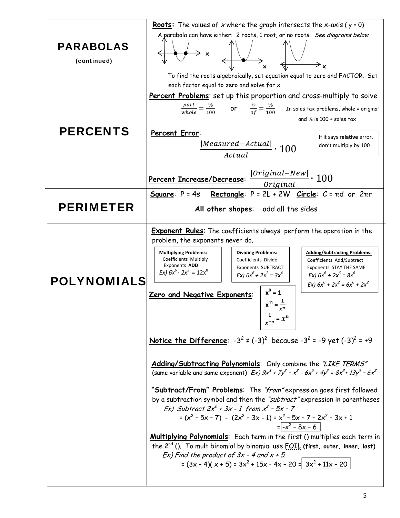|                    | <b>Roots:</b> The values of x where the graph intersects the x-axis ( $y = 0$ )                                                                                                                                                                                                                                                                    |  |
|--------------------|----------------------------------------------------------------------------------------------------------------------------------------------------------------------------------------------------------------------------------------------------------------------------------------------------------------------------------------------------|--|
| <b>PARABOLAS</b>   | A parabola can have either: 2 roots, 1 root, or no roots. See diagrams below.                                                                                                                                                                                                                                                                      |  |
| (continued)        |                                                                                                                                                                                                                                                                                                                                                    |  |
|                    | To find the roots algebraically, set equation equal to zero and FACTOR. Set                                                                                                                                                                                                                                                                        |  |
|                    | each factor equal to zero and solve for x.                                                                                                                                                                                                                                                                                                         |  |
|                    | Percent Problems: set up this proportion and cross-multiply to solve                                                                                                                                                                                                                                                                               |  |
|                    | $\frac{part}{whole} = \frac{\%}{100}$ or $\frac{is}{of} = \frac{\%}{100}$ In sales tax problems, whole = original                                                                                                                                                                                                                                  |  |
|                    | and $\%$ is 100 + sales tax                                                                                                                                                                                                                                                                                                                        |  |
| <b>PERCENTS</b>    | Percent Error:                                                                                                                                                                                                                                                                                                                                     |  |
|                    | If it says relative error,<br>don't multiply by 100                                                                                                                                                                                                                                                                                                |  |
|                    | $\frac{ Measured - \textit{Actual} }{\textit{Actual}} \cdot 100$                                                                                                                                                                                                                                                                                   |  |
|                    |                                                                                                                                                                                                                                                                                                                                                    |  |
|                    | $ Original-New $ $\cdot$ 100<br>Percent Increase/Decrease:                                                                                                                                                                                                                                                                                         |  |
|                    | Original                                                                                                                                                                                                                                                                                                                                           |  |
|                    | Rectangle: $P = 2L + 2W$ Circle: $C = \pi d$ or $2\pi r$<br>Square: $P = 4s$                                                                                                                                                                                                                                                                       |  |
| <b>PERIMETER</b>   | All other shapes: add all the sides                                                                                                                                                                                                                                                                                                                |  |
|                    | <b>Exponent Rules:</b> The coefficients always perform the operation in the                                                                                                                                                                                                                                                                        |  |
|                    | problem, the exponents never do.                                                                                                                                                                                                                                                                                                                   |  |
|                    | <b>Multiplying Problems:</b><br><b>Dividing Problems:</b><br><b>Adding/Subtracting Problems:</b><br>Coefficients Multiply<br>Coefficients Divide<br>Coefficients Add/Subtract<br>Exponents ADD<br><b>Exponents SUBTRACT</b><br>Exponents STAY THE SAME<br>Ex) $6x^6 \cdot 2x^2 = 12x^8$<br>Ex) $6x^6 \div 2x^2 = 3x^4$<br>Ex) $6x^6 + 2x^6 = 8x^6$ |  |
| <b>POLYNOMIALS</b> | Ex) $6x^6 + 2x^2 = 6x^6 + 2x^2$<br>$x^0 = 1$<br>Zero and Negative Exponents:                                                                                                                                                                                                                                                                       |  |
|                    | $x^n = \frac{1}{n}$                                                                                                                                                                                                                                                                                                                                |  |
|                    | $\frac{1}{x-n} = x^n$                                                                                                                                                                                                                                                                                                                              |  |
|                    | Notice the Difference: $-3^2 \neq (-3)^2$ because $-3^2 = -9$ yet $(-3)^2 = +9$                                                                                                                                                                                                                                                                    |  |
|                    | Adding/Subtracting Polynomials: Only combine the "LIKE TERMS"<br>(same variable and same exponent) $Ex$ ) $9x^3 + 7y^3 - x^3 - 6x^2 + 4y^3 = 8x^3 + 13y^3 - 6x^2$                                                                                                                                                                                  |  |
|                    | "Subtract/From" Problems: The "from" expression goes first followed                                                                                                                                                                                                                                                                                |  |
|                    | by a subtraction symbol and then the "subtract" expression in parentheses<br>Ex) Subtract $2x^2 + 3x - 1$ from $x^2 - 5x - 7$                                                                                                                                                                                                                      |  |
|                    | = $(x2 - 5x - 7) - (2x2 + 3x - 1) = x2 - 5x - 7 - 2x2 - 3x + 1$                                                                                                                                                                                                                                                                                    |  |
|                    | $=\sqrt{-x^2-8x-6}$                                                                                                                                                                                                                                                                                                                                |  |
|                    | Multiplying Polynomials: Each term in the first () multiplies each term in                                                                                                                                                                                                                                                                         |  |
|                    | the 2 <sup>nd</sup> (). To mult binomial by binomial use FOIL (first, outer, inner, last)<br>$Ex$ ) Find the product of $3x - 4$ and $x + 5$ .                                                                                                                                                                                                     |  |
|                    | $=(3x-4)(x+5) = 3x^2 + 15x - 4x - 20 = 3x^2 + 11x - 20$                                                                                                                                                                                                                                                                                            |  |
|                    |                                                                                                                                                                                                                                                                                                                                                    |  |
|                    |                                                                                                                                                                                                                                                                                                                                                    |  |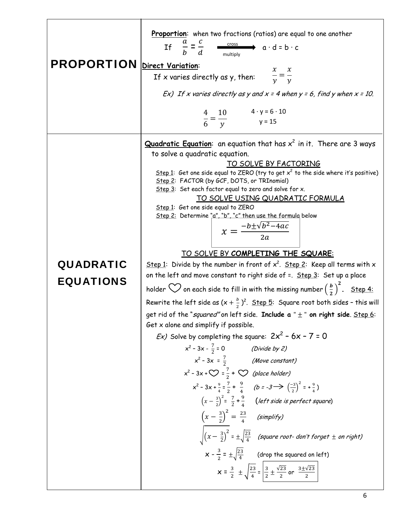| <b>PROPORTION</b> Direct Variation:  | Proportion: when two fractions (ratios) are equal to one another<br>If $\frac{a}{b} = \frac{c}{d}$ $\xrightarrow{\text{cross}}$ $a \cdot d = b \cdot c$<br>If x varies directly as y, then: $\frac{x}{y} = \frac{x}{y}$<br>Ex) If x varies directly as y and $x = 4$ when $y = 6$ , find y when $x = 10$ .<br>$\frac{4}{6} = \frac{10}{y}$ $4 \cdot y = 6 \cdot 10$<br>$y = 15$                                                                                                                                                                                                                                                                                                                                                                                                                                                                                                                                                                                                                                                                                                                                                                                                                                                                                                                                                                                                                                                                                                                                                                                                                                                                                                                                                                                                                                                                                                  |
|--------------------------------------|----------------------------------------------------------------------------------------------------------------------------------------------------------------------------------------------------------------------------------------------------------------------------------------------------------------------------------------------------------------------------------------------------------------------------------------------------------------------------------------------------------------------------------------------------------------------------------------------------------------------------------------------------------------------------------------------------------------------------------------------------------------------------------------------------------------------------------------------------------------------------------------------------------------------------------------------------------------------------------------------------------------------------------------------------------------------------------------------------------------------------------------------------------------------------------------------------------------------------------------------------------------------------------------------------------------------------------------------------------------------------------------------------------------------------------------------------------------------------------------------------------------------------------------------------------------------------------------------------------------------------------------------------------------------------------------------------------------------------------------------------------------------------------------------------------------------------------------------------------------------------------|
| <b>QUADRATIC</b><br><b>EQUATIONS</b> | Quadratic Equation: an equation that has $x^2$ in it. There are 3 ways<br>to solve a quadratic equation.<br>TO SOLVE BY FACTORING<br>Step 1: Get one side equal to ZERO (try to get $x^2$ to the side where it's positive)<br>Step 2: FACTOR (by GCF, DOTS, or TRInomial)<br>Step 3: Set each factor equal to zero and solve for x.<br><u>TO SOLVE USING QUADRATIC FORMULA</u><br>Step 1: Get one side equal to ZERO<br>Step 2: Determine "a", "b", "c" then use the formula below<br>$x = \frac{-b \pm \sqrt{b^2 - 4ac}}{2a}$<br>TO SOLVE BY COMPLETING THE SQUARE:<br>Step 1: Divide by the number in front of $x^2$ . Step 2: Keep all terms with x<br>on the left and move constant to right side of =. Step.3: Set up a place<br>holder $\bigcirc$ on each side to fill in with the missing number $\left(\frac{b}{2}\right)^2$ . Step.4:<br>Rewrite the left side as $(x + \frac{b}{2})^2$ . Step 5: Square root both sides - this will<br>get rid of the "squared" on left side. Include $a'' \pm$ " on right side. Step 6:<br>Get x alone and simplify if possible.<br><i>Ex)</i> Solve by completing the square: $2x^2 - 6x - 7 = 0$<br>$x^2 - 3x - \frac{7}{2} = 0$<br>(Divide by 2)<br>$x^2$ - 3x = $\frac{7}{2}$ (Move constant)<br>$x^2 - 3x + \bigcirc = \frac{7}{2} + \bigcirc$ (place holder)<br>$x^2-3x+\frac{9}{4}=\frac{7}{2}+\frac{9}{4}$ $(b=-3\rightarrow \left(\frac{-3}{2}\right)^2=+\frac{9}{4})$<br>$\left(x-\frac{3}{2}\right)^2 = \frac{7}{2} + \frac{9}{4}$ (left side is perfect square)<br>$\left(x-\frac{3}{2}\right)^2=\frac{23}{4}$ (simplify)<br>$\sqrt{(x-\frac{3}{2})^2}$ = $\pm \sqrt{\frac{23}{4}}$ (square root-don't forget $\pm$ on right)<br>$x - \frac{3}{2} = \pm \sqrt{\frac{23}{4}}$ (drop the squared on left)<br>$x = \frac{3}{2} \pm \sqrt{\frac{23}{4}} = \frac{3}{2} \pm \frac{\sqrt{23}}{2}$ or $\frac{3 \pm \sqrt{23}}{2}$ |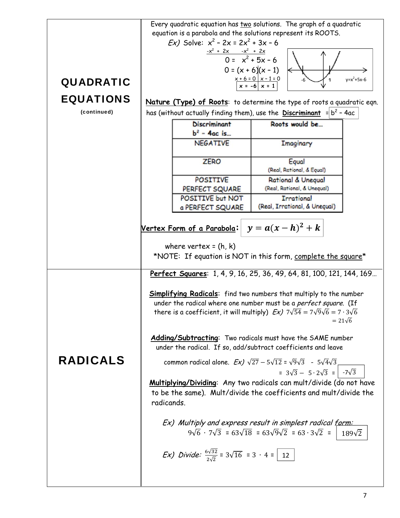|                  |                                                                                                 |                                                                                         | Every quadratic equation has two solutions. The graph of a quadratic                        |               |
|------------------|-------------------------------------------------------------------------------------------------|-----------------------------------------------------------------------------------------|---------------------------------------------------------------------------------------------|---------------|
|                  | equation is a parabola and the solutions represent its ROOTS.                                   |                                                                                         |                                                                                             |               |
|                  | <i>Ex</i> ) Solve: $x^2 - 2x = 2x^2 + 3x - 6$                                                   |                                                                                         |                                                                                             |               |
|                  |                                                                                                 |                                                                                         |                                                                                             |               |
|                  | $\frac{-x^2 + 2x - x^2 + 2x}{0 = x^2 + 5x - 6}$                                                 |                                                                                         |                                                                                             |               |
|                  |                                                                                                 |                                                                                         | $0 = (x + 6)(x - 1)$                                                                        |               |
| <b>QUADRATIC</b> |                                                                                                 |                                                                                         | $x + 6 = 0$ $x - 1 = 0$<br>$x = -6$ $x = 1$                                                 | $y=x^2+5x-6$  |
|                  |                                                                                                 |                                                                                         |                                                                                             |               |
| <b>EQUATIONS</b> |                                                                                                 |                                                                                         | Nature (Type) of Roots: to determine the type of roots a quadratic eqn.                     |               |
| (continued)      |                                                                                                 |                                                                                         | has (without actually finding them), use the <b>Discriminant</b> $=  b^2 - 4ac $            |               |
|                  |                                                                                                 | <b>Discriminant</b>                                                                     | Roots would be                                                                              |               |
|                  |                                                                                                 | $b2 - 4ac$ is                                                                           |                                                                                             |               |
|                  |                                                                                                 | <b>NEGATIVE</b>                                                                         | Imaginary                                                                                   |               |
|                  |                                                                                                 |                                                                                         |                                                                                             |               |
|                  |                                                                                                 | <b>ZERO</b>                                                                             | Equal                                                                                       |               |
|                  |                                                                                                 |                                                                                         | (Real, Rational, & Equal)                                                                   |               |
|                  |                                                                                                 | <b>POSITIVE</b>                                                                         | <b>Rational &amp; Unequal</b>                                                               |               |
|                  |                                                                                                 | PERFECT SQUARE                                                                          | (Real, Rational, & Unequal)                                                                 |               |
|                  |                                                                                                 | POSITIVE but NOT                                                                        | <b>Irrational</b>                                                                           |               |
|                  |                                                                                                 | a PERFECT SQUARE                                                                        | (Real, Irrational, & Unequal)                                                               |               |
|                  |                                                                                                 |                                                                                         |                                                                                             |               |
|                  | $y = a(x-h)^2 + k$<br><u>Vertex Form of a Parabola:</u>                                         |                                                                                         |                                                                                             |               |
|                  |                                                                                                 |                                                                                         |                                                                                             |               |
|                  |                                                                                                 | where vertex = $(h, k)$                                                                 |                                                                                             |               |
|                  |                                                                                                 |                                                                                         | *NOTE: If equation is NOT in this form, complete the square*                                |               |
|                  |                                                                                                 |                                                                                         | Perfect Squares: 1, 4, 9, 16, 25, 36, 49, 64, 81, 100, 121, 144, 169                        |               |
|                  |                                                                                                 |                                                                                         |                                                                                             |               |
|                  |                                                                                                 |                                                                                         | <b>Simplifying Radicals:</b> find two numbers that multiply to the number                   |               |
|                  | under the radical where one number must be a perfect square. (If                                |                                                                                         |                                                                                             |               |
|                  | there is a coefficient, it will multiply) $Ex$ ) $7\sqrt{54} = 7\sqrt{9}\sqrt{6} = 7.3\sqrt{6}$ |                                                                                         |                                                                                             |               |
|                  |                                                                                                 |                                                                                         | $= 21\sqrt{6}$                                                                              |               |
|                  |                                                                                                 |                                                                                         | Adding/Subtracting: Two radicals must have the SAME number                                  |               |
|                  |                                                                                                 |                                                                                         | under the radical. If so, add/subtract coefficients and leave                               |               |
| <b>RADICALS</b>  |                                                                                                 |                                                                                         | common radical alone. $Ex)$ $\sqrt{27} - 5\sqrt{12} = \sqrt{9}\sqrt{3} - 5\sqrt{4}\sqrt{3}$ |               |
|                  |                                                                                                 |                                                                                         | = $3\sqrt{3} - 5.2\sqrt{3} = -7\sqrt{3}$                                                    |               |
|                  |                                                                                                 |                                                                                         | Multiplying/Dividing: Any two radicals can mult/divide (do not have                         |               |
|                  |                                                                                                 |                                                                                         | to be the same). Mult/divide the coefficients and mult/divide the                           |               |
|                  | radicands.                                                                                      |                                                                                         |                                                                                             |               |
|                  |                                                                                                 |                                                                                         |                                                                                             |               |
|                  |                                                                                                 |                                                                                         | Ex) Multiply and express result in simplest radical form:                                   |               |
|                  |                                                                                                 |                                                                                         | $9\sqrt{6} \cdot 7\sqrt{3} = 63\sqrt{18} = 63\sqrt{9}\sqrt{2} = 63.3\sqrt{2} =$             | $189\sqrt{2}$ |
|                  |                                                                                                 |                                                                                         |                                                                                             |               |
|                  |                                                                                                 | <i>Ex)</i> Divide: $\frac{6\sqrt{32}}{2\sqrt{2}} = 3\sqrt{16} = 3 \cdot 4 = \boxed{12}$ |                                                                                             |               |
|                  |                                                                                                 |                                                                                         |                                                                                             |               |
|                  |                                                                                                 |                                                                                         |                                                                                             |               |
|                  |                                                                                                 |                                                                                         |                                                                                             |               |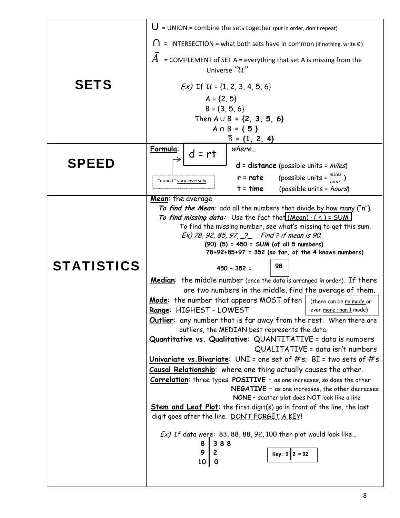|                   | $U = UNION = combine the sets together (put in order, don't repeat)$                                                    |  |
|-------------------|-------------------------------------------------------------------------------------------------------------------------|--|
|                   | $\equiv$ INTERSECTION = what both sets have in common (if nothing, write $\emptyset$ )                                  |  |
|                   | = COMPLEMENT of SET A = everything that set A is missing from the                                                       |  |
|                   | Universe "U"                                                                                                            |  |
| <b>SETS</b>       | $Ex$ ) If $U = \{1, 2, 3, 4, 5, 6\}$                                                                                    |  |
|                   | $A = \{2, 5\}$                                                                                                          |  |
|                   | $B = \{3, 5, 6\}$                                                                                                       |  |
|                   | Then $A \cup B = \{2, 3, 5, 6\}$                                                                                        |  |
|                   | $A \cap B = \{5\}$<br>$\overline{B} = \{1, 2, 4\}$                                                                      |  |
|                   | Formula:<br>where                                                                                                       |  |
| <b>SPEED</b>      | $d = rt$                                                                                                                |  |
|                   | $d = distance (possible units = miles)$<br>(possible units = $\frac{miles}{hour}$ )<br>$r = rate$                       |  |
|                   | "r and t" vary inversely<br>(possible units = hours)<br>$t = time$                                                      |  |
|                   | Mean: the average                                                                                                       |  |
|                   | To find the Mean: add all the numbers that divide by how many ("n").                                                    |  |
|                   | To find missing data: Use the fact that $(Mean) \cdot (n) = SUM$                                                        |  |
|                   | To find the missing number, see what's missing to get this sum.<br>Ex) 78, 92, 85, 97, 2 Find ? if mean is 90.          |  |
|                   | $(90) (5) = 450 = SUM (of all 5 numbers)$                                                                               |  |
|                   | 78+92+85+97 = 352 (so far, of the 4 known numbers)                                                                      |  |
| <b>STATISTICS</b> | 98<br>$450 - 352 =$                                                                                                     |  |
|                   | <b>Median:</b> the middle number (once the data is arranged in order). If there                                         |  |
|                   | are two numbers in the middle, find the average of them.                                                                |  |
|                   | Mode: the number that appears MOST often<br>(there can be no mode or<br>Range: HIGHEST-LOWEST<br>even more than 1 mode) |  |
|                   | <b>Outlier:</b> any number that is far away from the rest. When there are                                               |  |
|                   | outliers, the MEDIAN best represents the data.                                                                          |  |
|                   | Quantitative vs. Qualitative: QUANTITATIVE = data is numbers<br>QUALITATIVE = data isn't numbers                        |  |
|                   | Univariate vs. Bivariate: UNI = one set of #'s; BI = two sets of #'s                                                    |  |
|                   | Causal Relationship: where one thing actually causes the other.                                                         |  |
|                   | <b>Correlation:</b> three types POSITIVE - as one increases, so does the other                                          |  |
|                   | NEGATIVE - as one increases, the other decreases<br>NONE - scatter plot does NOT look like a line                       |  |
|                   | <b>Stem and Leaf Plot:</b> the first digit(s) go in front of the line, the last                                         |  |
|                   | digit goes after the line. DON'T FORGET A KEY!                                                                          |  |
|                   | $Ex$ ) If data were: 83, 88, 88, 92, 100 then plot would look like                                                      |  |
|                   |                                                                                                                         |  |
|                   | 388<br>8<br>9                                                                                                           |  |
|                   | 2<br><b>Key: 9</b> $2 = 92$<br>10<br>$\mathbf{o}$                                                                       |  |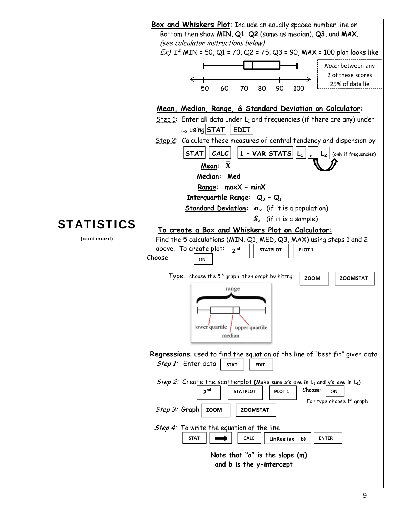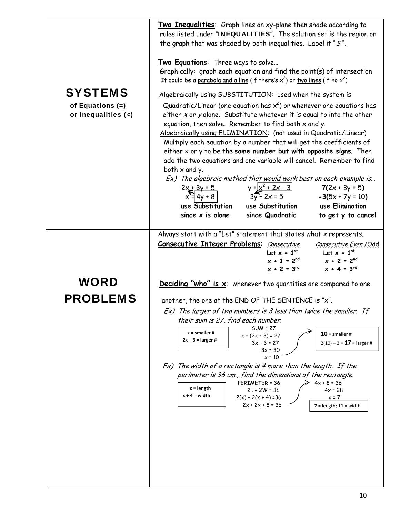|                         | Two Inequalities: Graph lines on xy-plane then shade according to<br>rules listed under "INEQUALITIES". The solution set is the region on                   |  |  |
|-------------------------|-------------------------------------------------------------------------------------------------------------------------------------------------------------|--|--|
|                         | the graph that was shaded by both inequalities. Label it " $S$ ".                                                                                           |  |  |
|                         |                                                                                                                                                             |  |  |
|                         | Two Equations: Three ways to solve                                                                                                                          |  |  |
|                         | Graphically: graph each equation and find the point(s) of intersection<br>It could be a parabola and a line (if there's $x^2$ ) or two lines (if no $x^2$ ) |  |  |
| <b>SYSTEMS</b>          | Algebraically using SUBSTITUTION: used when the system is                                                                                                   |  |  |
| of Equations (=)        | Quadratic/Linear (one equation has $x^2$ ) or whenever one equations has                                                                                    |  |  |
| or Inequalities $(\le)$ | either x or y alone. Substitute whatever it is equal to into the other                                                                                      |  |  |
|                         | equation, then solve. Remember to find both $x$ and $y$ .                                                                                                   |  |  |
|                         | Algebraically using ELIMINATION: (not used in Quadratic/Linear)<br>Multiply each equation by a number that will get the coefficients of                     |  |  |
|                         | either $x$ or $y$ to be the same number but with opposite signs. Then                                                                                       |  |  |
|                         | add the two equations and one variable will cancel. Remember to find<br>both $x$ and $y$ .                                                                  |  |  |
|                         | Ex) The algebraic method that would work best on each example is                                                                                            |  |  |
|                         | $y = x^2 + 2x - 3$<br>3y - 2x = 5<br>3y - 2x = 5<br>-3(5x + 7y = 10)<br>$2x + 3y = 5$<br>$x = 4y + 8$                                                       |  |  |
|                         | $-3(5x + 7y = 10)$<br>use Substitution<br>use Substitution<br>use Elimination                                                                               |  |  |
|                         | since $\times$ is alone<br>since Quadratic<br>to get y to cancel                                                                                            |  |  |
|                         | Always start with a "Let" statement that states what $x$ represents.                                                                                        |  |  |
|                         | <b>Consecutive Integer Problems:</b> Consecutive<br>Consecutive Even / Odd                                                                                  |  |  |
|                         | Let $x = 1^{st}$<br>Let $x = 1^{st}$<br>$x + 1 = 2^{nd}$<br>$x + 2 = 2^{nd}$                                                                                |  |  |
|                         | $x + 2 = 3^{rd}$<br>$x + 4 = 3^{rd}$                                                                                                                        |  |  |
| <b>WORD</b>             | <b>Deciding "who" is <math>x</math>:</b> whenever two quantities are compared to one                                                                        |  |  |
| <b>PROBLEMS</b>         |                                                                                                                                                             |  |  |
|                         | another, the one at the END OF THE SENTENCE is "x".<br>Ex) The larger of two numbers is 3 less than twice the smaller. If                                   |  |  |
|                         | their sum is 27, find each number.                                                                                                                          |  |  |
|                         | $SUM = 27$<br>$x = smaller #$<br>$10$ = smaller #<br>$x + (2x - 3) = 27$                                                                                    |  |  |
|                         | $2x - 3 =$ larger #<br>$3x - 3 = 27$<br>$2(10) - 3 = 17$ = larger #                                                                                         |  |  |
|                         | $3x = 30$<br>$x = 10$                                                                                                                                       |  |  |
|                         | Ex) The width of a rectangle is 4 more than the length. If the<br>perimeter is 36 cm., find the dimensions of the rectangle.                                |  |  |
|                         | PERIMETER = 36<br>$4x + 8 = 36$<br>$x = length$                                                                                                             |  |  |
|                         | $2L + 2W = 36$<br>$4x = 28$<br>$x + 4 = width$<br>$2(x) + 2(x + 4) = 36$<br>$x = 7$                                                                         |  |  |
|                         | $2x + 2x + 8 = 36$<br>$7 = length; 11 = width$                                                                                                              |  |  |
|                         |                                                                                                                                                             |  |  |
|                         |                                                                                                                                                             |  |  |
|                         |                                                                                                                                                             |  |  |
|                         |                                                                                                                                                             |  |  |
|                         |                                                                                                                                                             |  |  |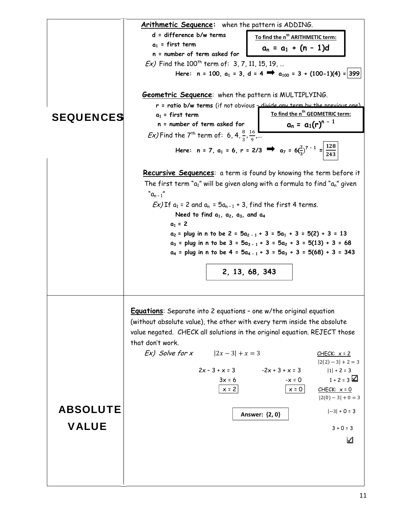|                  | Arithmetic Sequence: when the pattern is ADDING.                                   |                                                                                                                                 |
|------------------|------------------------------------------------------------------------------------|---------------------------------------------------------------------------------------------------------------------------------|
|                  | d = difference b/w terms                                                           | To find the n <sup>th</sup> ARITHMETIC term:                                                                                    |
|                  | $a_1$ = first term                                                                 | $a_n = a_1 + (n - 1)d$                                                                                                          |
|                  | n = number of term asked for                                                       |                                                                                                                                 |
|                  | Ex) Find the 100 <sup>th</sup> term of: 3, 7, 11, 15, 19,                          |                                                                                                                                 |
|                  |                                                                                    | Here: $n = 100$ , $a_1 = 3$ , $d = 4$ $\implies a_{100} = 3 + (100-1)(4) = 399$                                                 |
|                  | <b>Geometric Sequence</b> : when the pattern is MULTIPLYING.                       |                                                                                                                                 |
|                  |                                                                                    | r = ratio b/w terms (if not obvious - divide any term by the previous one)                                                      |
| <b>SEQUENCES</b> | $a_1$ = first term                                                                 | To find the n <sup>th</sup> GEOMETRIC term:                                                                                     |
|                  | n = number of term asked for                                                       | $a_n = a_1(r)^{n-1}$                                                                                                            |
|                  | <i>Ex</i> ) Find the 7 <sup>th</sup> term of: 6, 4, $\frac{8}{3}$ , $\frac{16}{9}$ |                                                                                                                                 |
|                  |                                                                                    | Here: n = 7, a <sub>1</sub> = 6, r = 2/3 $\Rightarrow$ a <sub>7</sub> = 6( $\frac{2}{3}$ ) <sup>7 - 1</sup> = $\frac{128}{243}$ |
|                  |                                                                                    | <b>Recursive Sequences:</b> a term is found by knowing the term before it                                                       |
|                  |                                                                                    | The first term " $a_1$ " will be given along with a formula to find " $a_n$ " given                                             |
|                  | $"a_{n-1}"$                                                                        |                                                                                                                                 |
|                  | $Ex$ ) If $a_1 = 2$ and $a_n = 5a_{n-1} + 3$ , find the first 4 terms.             |                                                                                                                                 |
|                  | Need to find $a_1$ , $a_2$ , $a_3$ , and $a_4$                                     |                                                                                                                                 |
|                  | $a_1 = 2$                                                                          |                                                                                                                                 |
|                  |                                                                                    | $a_2$ = plug in n to be 2 = $5a_{2-1}$ + 3 = $5a_1$ + 3 = $5(2)$ + 3 = 13                                                       |
|                  |                                                                                    | $a_3$ = plug in n to be 3 = $5a_{3-1}$ + 3 = $5a_2$ + 3 = $5(13)$ + 3 = 68                                                      |
|                  |                                                                                    | $a_4$ = plug in n to be 4 = $5a_{4-1}$ + 3 = $5a_3$ + 3 = $5(68)$ + 3 = 343                                                     |
|                  |                                                                                    |                                                                                                                                 |
|                  |                                                                                    | 2, 13, 68, 343                                                                                                                  |
|                  |                                                                                    |                                                                                                                                 |
|                  |                                                                                    |                                                                                                                                 |
|                  | <b>Equations:</b> Separate into 2 equations - one w/the original equation          |                                                                                                                                 |
|                  | (without absolute value), the other with every term inside the absolute            |                                                                                                                                 |
|                  | value negated. CHECK all solutions in the original equation. REJECT those          |                                                                                                                                 |
|                  | that don't work.                                                                   |                                                                                                                                 |
|                  | <i>Ex)</i> Solve for x $ 2x - 3  + x = 3$                                          | $CHECK: x = 2$                                                                                                                  |
|                  |                                                                                    | $ 2(2) - 3  + 2 = 3$                                                                                                            |
|                  | $2x - 3 + x = 3$                                                                   | $-2x + 3 + x = 3$<br>$ 1  + 2 = 3$                                                                                              |
|                  | $3x = 6$                                                                           | $1 + 2 = 3$ $\Box$<br>$-x = 0$                                                                                                  |
|                  | $x = 2$                                                                            | $x = 0$<br>$CHECK: x = 0$                                                                                                       |
|                  |                                                                                    | $ 2(0) - 3  + 0 = 3$                                                                                                            |
| <b>ABSOLUTE</b>  |                                                                                    | $ -3  + 0 = 3$<br>Answer: {2, 0}                                                                                                |
|                  |                                                                                    |                                                                                                                                 |
|                  |                                                                                    |                                                                                                                                 |
| <b>VALUE</b>     |                                                                                    | $3 + 0 = 3$                                                                                                                     |
|                  |                                                                                    | ⊻                                                                                                                               |
|                  |                                                                                    |                                                                                                                                 |
|                  |                                                                                    |                                                                                                                                 |